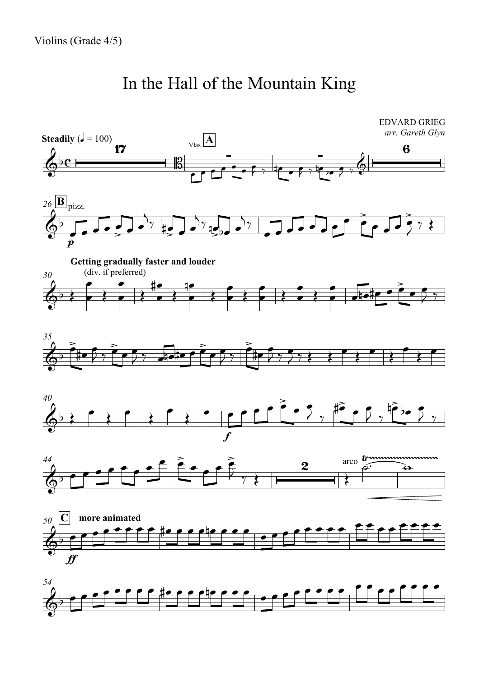## In the Hall of the Mountain King